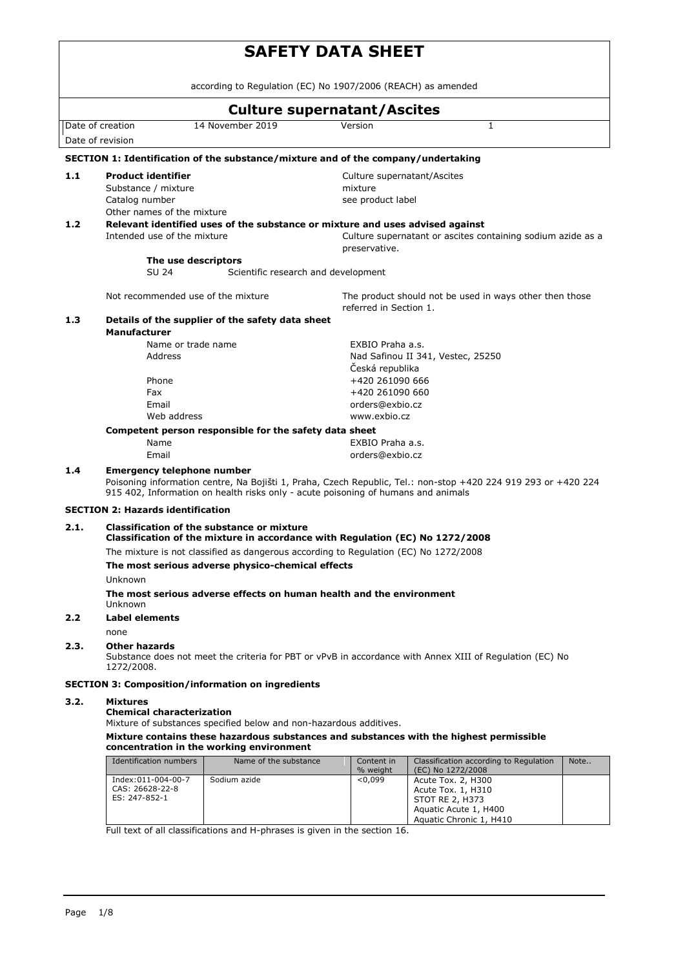|                                      |                                                                                                                                                                                                                                          | <b>SAFETY DATA SHEET</b>                                                                                                           |                                        |                                                                                                           |      |  |
|--------------------------------------|------------------------------------------------------------------------------------------------------------------------------------------------------------------------------------------------------------------------------------------|------------------------------------------------------------------------------------------------------------------------------------|----------------------------------------|-----------------------------------------------------------------------------------------------------------|------|--|
|                                      |                                                                                                                                                                                                                                          | according to Regulation (EC) No 1907/2006 (REACH) as amended                                                                       |                                        |                                                                                                           |      |  |
|                                      |                                                                                                                                                                                                                                          | <b>Culture supernatant/Ascites</b>                                                                                                 |                                        |                                                                                                           |      |  |
| Date of creation<br>Date of revision |                                                                                                                                                                                                                                          | 14 November 2019                                                                                                                   | Version                                | $\mathbf{1}$                                                                                              |      |  |
|                                      |                                                                                                                                                                                                                                          | SECTION 1: Identification of the substance/mixture and of the company/undertaking                                                  |                                        |                                                                                                           |      |  |
|                                      |                                                                                                                                                                                                                                          |                                                                                                                                    |                                        |                                                                                                           |      |  |
| 1.1                                  | <b>Product identifier</b><br>Substance / mixture                                                                                                                                                                                         |                                                                                                                                    | Culture supernatant/Ascites<br>mixture |                                                                                                           |      |  |
|                                      | Catalog number                                                                                                                                                                                                                           |                                                                                                                                    | see product label                      |                                                                                                           |      |  |
|                                      | Other names of the mixture                                                                                                                                                                                                               |                                                                                                                                    |                                        |                                                                                                           |      |  |
| 1.2                                  | Intended use of the mixture                                                                                                                                                                                                              | Relevant identified uses of the substance or mixture and uses advised against                                                      | preservative.                          | Culture supernatant or ascites containing sodium azide as a                                               |      |  |
|                                      | The use descriptors                                                                                                                                                                                                                      |                                                                                                                                    |                                        |                                                                                                           |      |  |
|                                      | SU 24                                                                                                                                                                                                                                    | Scientific research and development                                                                                                |                                        |                                                                                                           |      |  |
|                                      | Not recommended use of the mixture                                                                                                                                                                                                       |                                                                                                                                    | referred in Section 1.                 | The product should not be used in ways other then those                                                   |      |  |
| 1.3                                  | <b>Manufacturer</b>                                                                                                                                                                                                                      | Details of the supplier of the safety data sheet                                                                                   |                                        |                                                                                                           |      |  |
|                                      | Name or trade name                                                                                                                                                                                                                       |                                                                                                                                    | EXBIO Praha a.s.                       |                                                                                                           |      |  |
|                                      | Address                                                                                                                                                                                                                                  |                                                                                                                                    | Česká republika                        | Nad Safinou II 341, Vestec, 25250                                                                         |      |  |
|                                      | Phone                                                                                                                                                                                                                                    |                                                                                                                                    | +420 261090 666                        |                                                                                                           |      |  |
|                                      | Fax                                                                                                                                                                                                                                      |                                                                                                                                    | +420 261090 660                        |                                                                                                           |      |  |
|                                      | Email                                                                                                                                                                                                                                    |                                                                                                                                    | orders@exbio.cz                        |                                                                                                           |      |  |
|                                      | Web address                                                                                                                                                                                                                              |                                                                                                                                    | www.exbio.cz                           |                                                                                                           |      |  |
|                                      | Name                                                                                                                                                                                                                                     | Competent person responsible for the safety data sheet                                                                             | EXBIO Praha a.s.                       |                                                                                                           |      |  |
|                                      | Email                                                                                                                                                                                                                                    |                                                                                                                                    | orders@exbio.cz                        |                                                                                                           |      |  |
| 1.4                                  | <b>Emergency telephone number</b><br>Poisoning information centre, Na Bojišti 1, Praha, Czech Republic, Tel.: non-stop +420 224 919 293 or +420 224<br>915 402, Information on health risks only - acute poisoning of humans and animals |                                                                                                                                    |                                        |                                                                                                           |      |  |
|                                      | <b>SECTION 2: Hazards identification</b>                                                                                                                                                                                                 |                                                                                                                                    |                                        |                                                                                                           |      |  |
| 2.1.                                 |                                                                                                                                                                                                                                          | <b>Classification of the substance or mixture</b><br>Classification of the mixture in accordance with Regulation (EC) No 1272/2008 |                                        |                                                                                                           |      |  |
|                                      |                                                                                                                                                                                                                                          | The mixture is not classified as dangerous according to Regulation (EC) No 1272/2008                                               |                                        |                                                                                                           |      |  |
|                                      |                                                                                                                                                                                                                                          | The most serious adverse physico-chemical effects                                                                                  |                                        |                                                                                                           |      |  |
|                                      | Unknown                                                                                                                                                                                                                                  |                                                                                                                                    |                                        |                                                                                                           |      |  |
|                                      | <b>Unknown</b>                                                                                                                                                                                                                           | The most serious adverse effects on human health and the environment                                                               |                                        |                                                                                                           |      |  |
| 2.2                                  | <b>Label elements</b>                                                                                                                                                                                                                    |                                                                                                                                    |                                        |                                                                                                           |      |  |
|                                      | none                                                                                                                                                                                                                                     |                                                                                                                                    |                                        |                                                                                                           |      |  |
| 2.3.                                 | <b>Other hazards</b><br>1272/2008.                                                                                                                                                                                                       |                                                                                                                                    |                                        | Substance does not meet the criteria for PBT or vPvB in accordance with Annex XIII of Regulation (EC) No  |      |  |
|                                      |                                                                                                                                                                                                                                          | <b>SECTION 3: Composition/information on ingredients</b>                                                                           |                                        |                                                                                                           |      |  |
| 3.2.                                 | <b>Mixtures</b><br><b>Chemical characterization</b>                                                                                                                                                                                      | Mixture of substances specified below and non-hazardous additives.                                                                 |                                        |                                                                                                           |      |  |
|                                      |                                                                                                                                                                                                                                          | concentration in the working environment                                                                                           |                                        | Mixture contains these hazardous substances and substances with the highest permissible                   |      |  |
|                                      | <b>Identification numbers</b>                                                                                                                                                                                                            | Name of the substance                                                                                                              | Content in                             | Classification according to Regulation                                                                    | Note |  |
|                                      | Index:011-004-00-7<br>CAS: 26628-22-8<br>ES: 247-852-1                                                                                                                                                                                   | Sodium azide                                                                                                                       | % weight<br>< 0.099                    | (EC) No 1272/2008<br>Acute Tox. 2, H300<br>Acute Tox. 1, H310<br>STOT RE 2, H373<br>Aquatic Acute 1, H400 |      |  |

Aquatic Chronic 1, H410

Full text of all classifications and H-phrases is given in the section 16.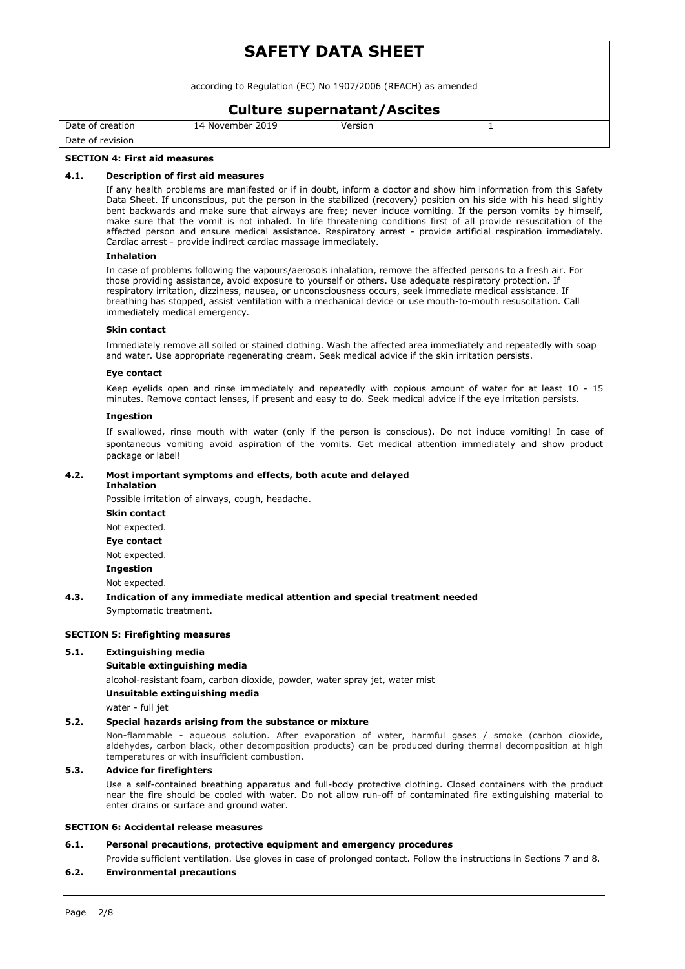according to Regulation (EC) No 1907/2006 (REACH) as amended

# **Culture supernatant/Ascites**

Date of creation

14 November 2019 Version 1

Date of revision

# **SECTION 4: First aid measures**

### **4.1. Description of first aid measures**

If any health problems are manifested or if in doubt, inform a doctor and show him information from this Safety Data Sheet. If unconscious, put the person in the stabilized (recovery) position on his side with his head slightly bent backwards and make sure that airways are free; never induce vomiting. If the person vomits by himself, make sure that the vomit is not inhaled. In life threatening conditions first of all provide resuscitation of the affected person and ensure medical assistance. Respiratory arrest - provide artificial respiration immediately. Cardiac arrest - provide indirect cardiac massage immediately.

### **Inhalation**

In case of problems following the vapours/aerosols inhalation, remove the affected persons to a fresh air. For those providing assistance, avoid exposure to yourself or others. Use adequate respiratory protection. If respiratory irritation, dizziness, nausea, or unconsciousness occurs, seek immediate medical assistance. If breathing has stopped, assist ventilation with a mechanical device or use mouth-to-mouth resuscitation. Call immediately medical emergency.

#### **Skin contact**

Immediately remove all soiled or stained clothing. Wash the affected area immediately and repeatedly with soap and water. Use appropriate regenerating cream. Seek medical advice if the skin irritation persists.

### **Eye contact**

Keep eyelids open and rinse immediately and repeatedly with copious amount of water for at least 10 - 15 minutes. Remove contact lenses, if present and easy to do. Seek medical advice if the eye irritation persists.

### **Ingestion**

If swallowed, rinse mouth with water (only if the person is conscious). Do not induce vomiting! In case of spontaneous vomiting avoid aspiration of the vomits. Get medical attention immediately and show product package or label!

### **4.2. Most important symptoms and effects, both acute and delayed Inhalation**

Possible irritation of airways, cough, headache.

**Skin contact** Not expected. **Eye contact** Not expected. **Ingestion** Not expected.

## **4.3. Indication of any immediate medical attention and special treatment needed** Symptomatic treatment.

### **SECTION 5: Firefighting measures**

### **5.1. Extinguishing media**

### **Suitable extinguishing media**

alcohol-resistant foam, carbon dioxide, powder, water spray jet, water mist

### **Unsuitable extinguishing media**

water - full jet

## **5.2. Special hazards arising from the substance or mixture**

Non-flammable - aqueous solution. After evaporation of water, harmful gases / smoke (carbon dioxide, aldehydes, carbon black, other decomposition products) can be produced during thermal decomposition at high temperatures or with insufficient combustion.

### **5.3. Advice for firefighters**

Use a self-contained breathing apparatus and full-body protective clothing. Closed containers with the product near the fire should be cooled with water. Do not allow run-off of contaminated fire extinguishing material to enter drains or surface and ground water.

### **SECTION 6: Accidental release measures**

### **6.1. Personal precautions, protective equipment and emergency procedures**

Provide sufficient ventilation. Use gloves in case of prolonged contact. Follow the instructions in Sections 7 and 8.

### **6.2. Environmental precautions**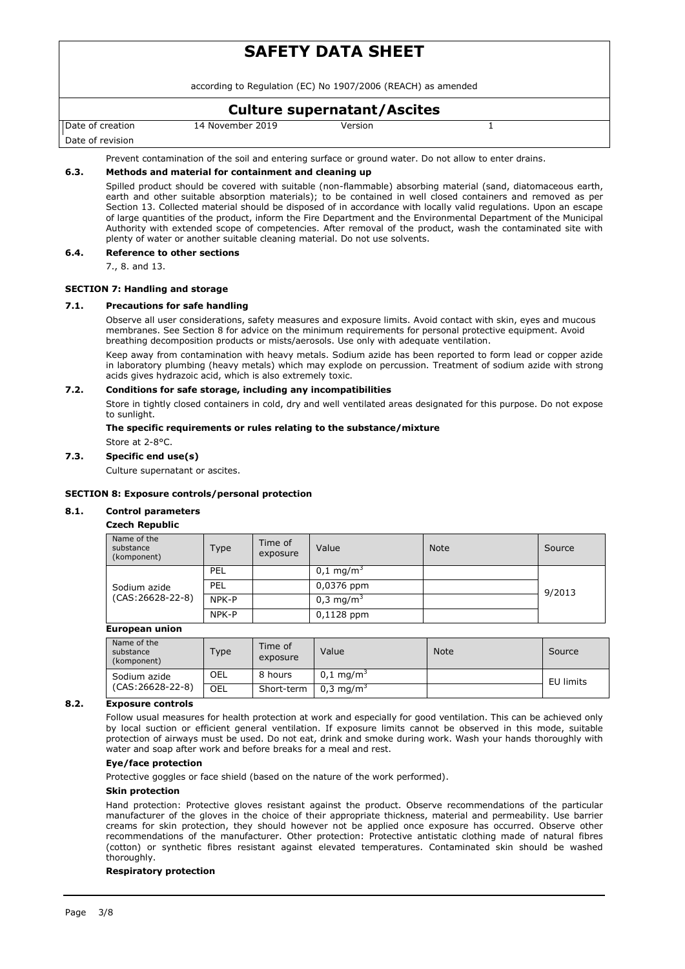according to Regulation (EC) No 1907/2006 (REACH) as amended

# **Culture supernatant/Ascites**

Date of creation

14 November 2019 Version 1

Date of revision

Prevent contamination of the soil and entering surface or ground water. Do not allow to enter drains.

# **6.3. Methods and material for containment and cleaning up**

Spilled product should be covered with suitable (non-flammable) absorbing material (sand, diatomaceous earth, earth and other suitable absorption materials); to be contained in well closed containers and removed as per Section 13. Collected material should be disposed of in accordance with locally valid regulations. Upon an escape of large quantities of the product, inform the Fire Department and the Environmental Department of the Municipal Authority with extended scope of competencies. After removal of the product, wash the contaminated site with plenty of water or another suitable cleaning material. Do not use solvents.

### **6.4. Reference to other sections**

7., 8. and 13.

### **SECTION 7: Handling and storage**

### **7.1. Precautions for safe handling**

Observe all user considerations, safety measures and exposure limits. Avoid contact with skin, eyes and mucous membranes. See Section 8 for advice on the minimum requirements for personal protective equipment. Avoid breathing decomposition products or mists/aerosols. Use only with adequate ventilation.

Keep away from contamination with heavy metals. Sodium azide has been reported to form lead or copper azide in laboratory plumbing (heavy metals) which may explode on percussion. Treatment of sodium azide with strong acids gives hydrazoic acid, which is also extremely toxic.

### **7.2. Conditions for safe storage, including any incompatibilities**

Store in tightly closed containers in cold, dry and well ventilated areas designated for this purpose. Do not expose to sunlight.

### **The specific requirements or rules relating to the substance/mixture** Store at 2-8°C.

# **7.3. Specific end use(s)**

Culture supernatant or ascites.

### **SECTION 8: Exposure controls/personal protection**

## **8.1. Control parameters**

## **Czech Republic**

| Name of the<br>substance<br>(komponent) | Type  | Time of<br>exposure | Value                | <b>Note</b> | Source |
|-----------------------------------------|-------|---------------------|----------------------|-------------|--------|
|                                         | PEL   |                     | $0.1 \text{ mg/m}$   |             | 9/2013 |
| Sodium azide                            | PEL   |                     | 0,0376 ppm           |             |        |
| $(CAS:26628-22-8)$                      | NPK-P |                     | $0.3 \text{ mg/m}^3$ |             |        |
|                                         | NPK-P |                     | $0,1128$ ppm         |             |        |

### **European union**

| Name of the<br>substance<br>(komponent) | Type | Time of<br>exposure | Value                   | <b>Note</b> | Source    |
|-----------------------------------------|------|---------------------|-------------------------|-------------|-----------|
| Sodium azide<br>$(CAS:26628-22-8)$      | OEL  | 8 hours             | $0.1 \,\mathrm{mq/m^3}$ |             | EU limits |
|                                         | OEL  | Short-term          | $0.3 \text{ ma/m}^3$    |             |           |

## **8.2. Exposure controls**

Follow usual measures for health protection at work and especially for good ventilation. This can be achieved only by local suction or efficient general ventilation. If exposure limits cannot be observed in this mode, suitable protection of airways must be used. Do not eat, drink and smoke during work. Wash your hands thoroughly with water and soap after work and before breaks for a meal and rest.

### **Eye/face protection**

Protective goggles or face shield (based on the nature of the work performed).

### **Skin protection**

Hand protection: Protective gloves resistant against the product. Observe recommendations of the particular manufacturer of the gloves in the choice of their appropriate thickness, material and permeability. Use barrier creams for skin protection, they should however not be applied once exposure has occurred. Observe other recommendations of the manufacturer. Other protection: Protective antistatic clothing made of natural fibres (cotton) or synthetic fibres resistant against elevated temperatures. Contaminated skin should be washed thoroughly.

### **Respiratory protection**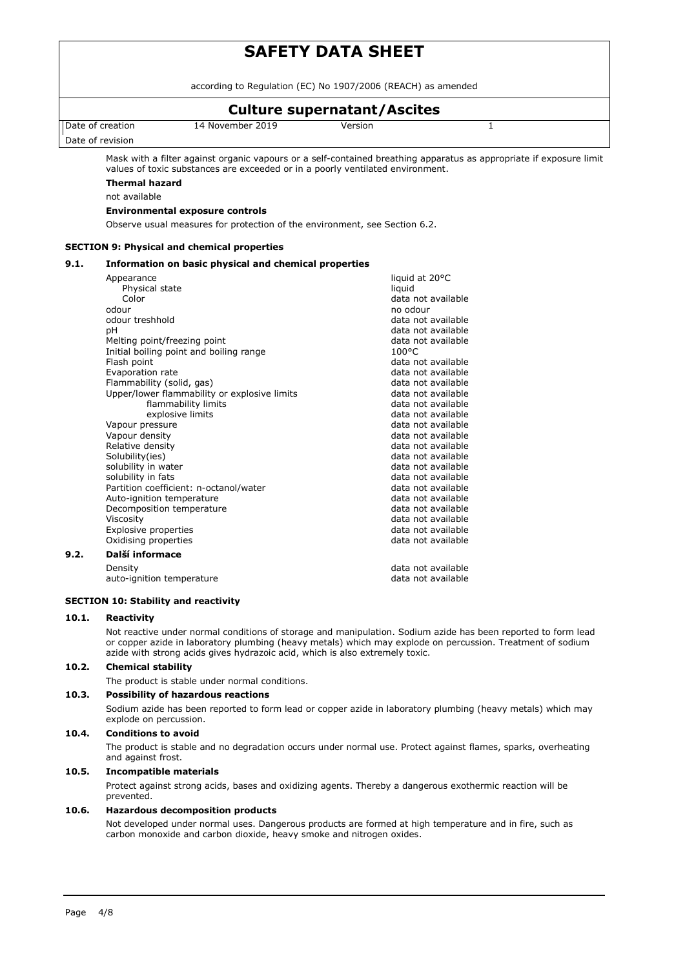according to Regulation (EC) No 1907/2006 (REACH) as amended

# **Culture supernatant/Ascites**

Date of creation

14 November 2019 Version 1

Date of revision

Mask with a filter against organic vapours or a self-contained breathing apparatus as appropriate if exposure limit values of toxic substances are exceeded or in a poorly ventilated environment.

# **Thermal hazard**

not available

## **Environmental exposure controls**

Observe usual measures for protection of the environment, see Section 6.2.

### **SECTION 9: Physical and chemical properties**

### **9.1. Information on basic physical and chemical properties**

|      | Appearance                                   | liquid at 20°C     |
|------|----------------------------------------------|--------------------|
|      | Physical state                               | liquid             |
|      | Color                                        | data not available |
|      | odour                                        | no odour           |
|      | odour treshhold                              | data not available |
|      | рH                                           | data not available |
|      | Melting point/freezing point                 | data not available |
|      | Initial boiling point and boiling range      | $100^{\circ}$ C    |
|      | Flash point                                  | data not available |
|      | Evaporation rate                             | data not available |
|      | Flammability (solid, gas)                    | data not available |
|      | Upper/lower flammability or explosive limits | data not available |
|      | flammability limits                          | data not available |
|      | explosive limits                             | data not available |
|      | Vapour pressure                              | data not available |
|      | Vapour density                               | data not available |
|      | Relative density                             | data not available |
|      | Solubility(ies)                              | data not available |
|      | solubility in water                          | data not available |
|      | solubility in fats                           | data not available |
|      | Partition coefficient: n-octanol/water       | data not available |
|      | Auto-ignition temperature                    | data not available |
|      | Decomposition temperature                    | data not available |
|      | Viscosity                                    | data not available |
|      | <b>Explosive properties</b>                  | data not available |
|      | Oxidising properties                         | data not available |
| 9.2. | Další informace                              |                    |
|      | Density                                      | data not available |
|      | auto-ignition temperature                    | data not available |

### **SECTION 10: Stability and reactivity**

### **10.1. Reactivity**

Not reactive under normal conditions of storage and manipulation. Sodium azide has been reported to form lead or copper azide in laboratory plumbing (heavy metals) which may explode on percussion. Treatment of sodium azide with strong acids gives hydrazoic acid, which is also extremely toxic.

### **10.2. Chemical stability**

The product is stable under normal conditions.

### **10.3. Possibility of hazardous reactions**

Sodium azide has been reported to form lead or copper azide in laboratory plumbing (heavy metals) which may explode on percussion.

### **10.4. Conditions to avoid**

The product is stable and no degradation occurs under normal use. Protect against flames, sparks, overheating and against frost.

### **10.5. Incompatible materials**

Protect against strong acids, bases and oxidizing agents. Thereby a dangerous exothermic reaction will be prevented.

### **10.6. Hazardous decomposition products**

Not developed under normal uses. Dangerous products are formed at high temperature and in fire, such as carbon monoxide and carbon dioxide, heavy smoke and nitrogen oxides.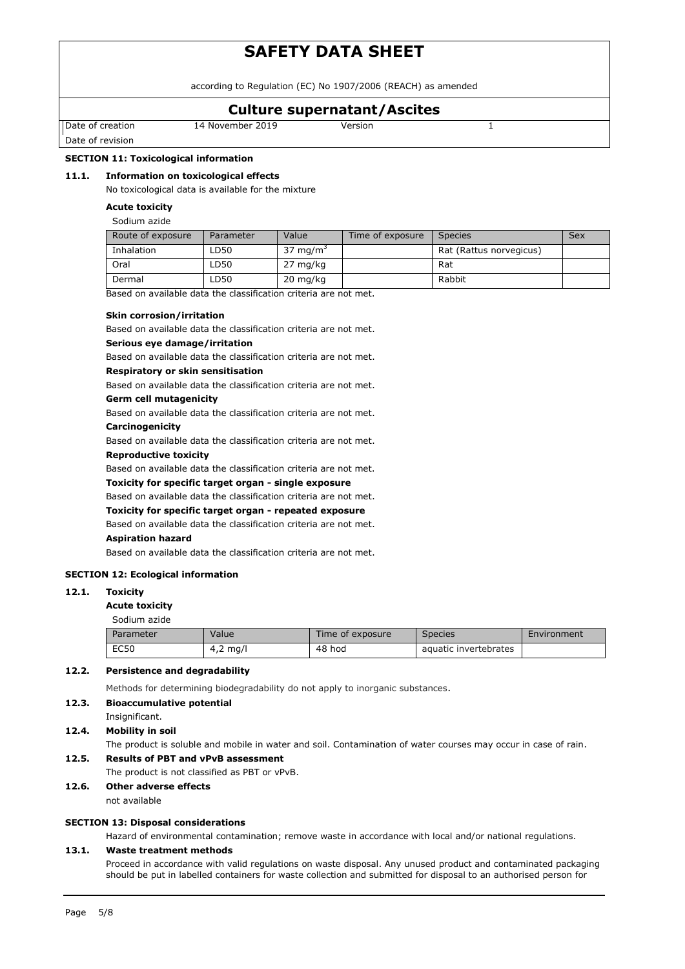according to Regulation (EC) No 1907/2006 (REACH) as amended

# **Culture supernatant/Ascites**

Date of creation

14 November 2019 Version 1

Date of revision

# **SECTION 11: Toxicological information**

## **11.1. Information on toxicological effects**

No toxicological data is available for the mixture

### **Acute toxicity**

Sodium azide

| Route of exposure | Parameter | Value                | Time of exposure | <b>Species</b>          | Sex |
|-------------------|-----------|----------------------|------------------|-------------------------|-----|
| Inhalation        | LD50      | 37 mg/m <sup>3</sup> |                  | Rat (Rattus norvegicus) |     |
| Oral              | LD50      | 27 mg/kg             |                  | Rat                     |     |
| Dermal            | LD50      | $20 \text{ mg/kg}$   |                  | Rabbit                  |     |

Based on available data the classification criteria are not met.

### **Skin corrosion/irritation**

Based on available data the classification criteria are not met.

### **Serious eye damage/irritation**

Based on available data the classification criteria are not met.

## **Respiratory or skin sensitisation**

Based on available data the classification criteria are not met.

# **Germ cell mutagenicity**

Based on available data the classification criteria are not met.

## **Carcinogenicity**

Based on available data the classification criteria are not met.

### **Reproductive toxicity**

Based on available data the classification criteria are not met.

**Toxicity for specific target organ - single exposure**

Based on available data the classification criteria are not met.

## **Toxicity for specific target organ - repeated exposure**

Based on available data the classification criteria are not met.

### **Aspiration hazard**

Based on available data the classification criteria are not met.

### **SECTION 12: Ecological information**

### **12.1. Toxicity**

#### **Acute toxicity**

Sodium azide

| Parameter   | Value      | Time of exposure | <b>Species</b>        | Environment |
|-------------|------------|------------------|-----------------------|-------------|
| <b>EC50</b> | $4,2$ mg/l | 48 hod           | aquatic invertebrates |             |

### **12.2. Persistence and degradability**

Methods for determining biodegradability do not apply to inorganic substances.

### **12.3. Bioaccumulative potential**

Insignificant.

**12.4. Mobility in soil**

The product is soluble and mobile in water and soil. Contamination of water courses may occur in case of rain.

## **12.5. Results of PBT and vPvB assessment**

The product is not classified as PBT or vPvB.

**12.6. Other adverse effects**

### not available

## **SECTION 13: Disposal considerations**

Hazard of environmental contamination; remove waste in accordance with local and/or national regulations.

## **13.1. Waste treatment methods**

Proceed in accordance with valid regulations on waste disposal. Any unused product and contaminated packaging should be put in labelled containers for waste collection and submitted for disposal to an authorised person for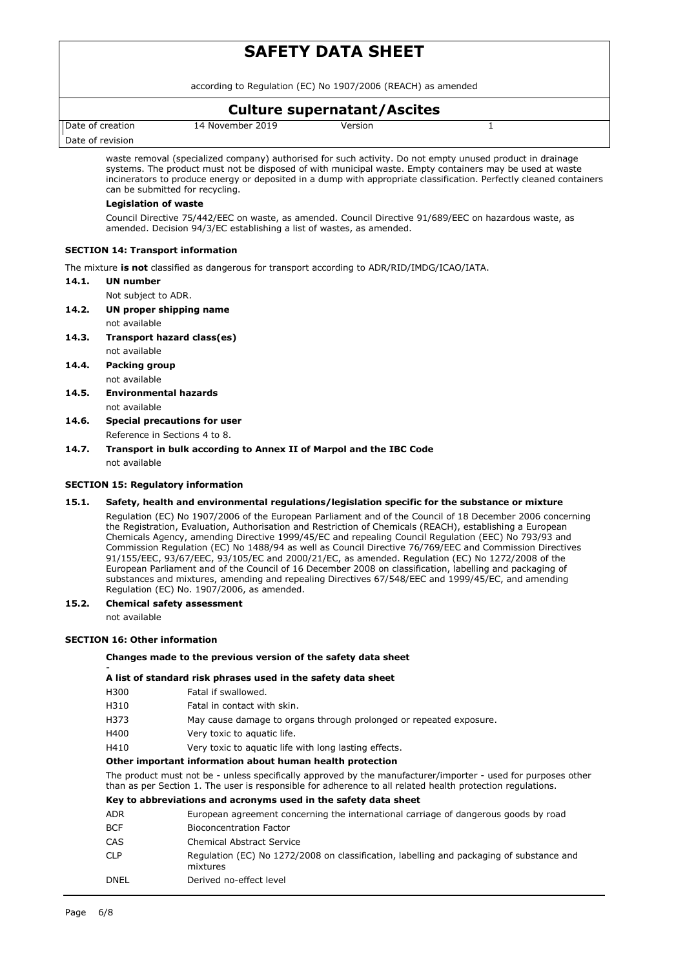according to Regulation (EC) No 1907/2006 (REACH) as amended

# **Culture supernatant/Ascites**

Date of creation

14 November 2019 Version 1

Date of revision

waste removal (specialized company) authorised for such activity. Do not empty unused product in drainage systems. The product must not be disposed of with municipal waste. Empty containers may be used at waste incinerators to produce energy or deposited in a dump with appropriate classification. Perfectly cleaned containers can be submitted for recycling.

### **Legislation of waste**

Council Directive 75/442/EEC on waste, as amended. Council Directive 91/689/EEC on hazardous waste, as amended. Decision 94/3/EC establishing a list of wastes, as amended.

## **SECTION 14: Transport information**

The mixture **is not** classified as dangerous for transport according to ADR/RID/IMDG/ICAO/IATA.

- **14.1. UN number**
	- Not subject to ADR.
- **14.2. UN proper shipping name**
	- not available
- **14.3. Transport hazard class(es)** not available
- **14.4. Packing group** not available
- **14.5. Environmental hazards** not available
- **14.6. Special precautions for user** Reference in Sections 4 to 8.
- **14.7. Transport in bulk according to Annex II of Marpol and the IBC Code** not available

## **SECTION 15: Regulatory information**

## **15.1. Safety, health and environmental regulations/legislation specific for the substance or mixture**

Regulation (EC) No 1907/2006 of the European Parliament and of the Council of 18 December 2006 concerning the Registration, Evaluation, Authorisation and Restriction of Chemicals (REACH), establishing a European Chemicals Agency, amending Directive 1999/45/EC and repealing Council Regulation (EEC) No 793/93 and Commission Regulation (EC) No 1488/94 as well as Council Directive 76/769/EEC and Commission Directives 91/155/EEC, 93/67/EEC, 93/105/EC and 2000/21/EC, as amended. Regulation (EC) No 1272/2008 of the European Parliament and of the Council of 16 December 2008 on classification, labelling and packaging of substances and mixtures, amending and repealing Directives 67/548/EEC and 1999/45/EC, and amending Regulation (EC) No. 1907/2006, as amended.

### **15.2. Chemical safety assessment**

not available

-

# **SECTION 16: Other information**

### **Changes made to the previous version of the safety data sheet**

### **A list of standard risk phrases used in the safety data sheet**

- H300 Fatal if swallowed.
- H310 Fatal in contact with skin.
- H373 May cause damage to organs through prolonged or repeated exposure.
- H400 Very toxic to aquatic life.
- H410 Very toxic to aquatic life with long lasting effects.

### **Other important information about human health protection**

The product must not be - unless specifically approved by the manufacturer/importer - used for purposes other than as per Section 1. The user is responsible for adherence to all related health protection regulations.

### **Key to abbreviations and acronyms used in the safety data sheet**

| ADR        | European agreement concerning the international carriage of dangerous goods by road                  |
|------------|------------------------------------------------------------------------------------------------------|
| <b>BCF</b> | <b>Bioconcentration Factor</b>                                                                       |
| CAS        | <b>Chemical Abstract Service</b>                                                                     |
| <b>CLP</b> | Regulation (EC) No 1272/2008 on classification, labelling and packaging of substance and<br>mixtures |
| DNEL       | Derived no-effect level                                                                              |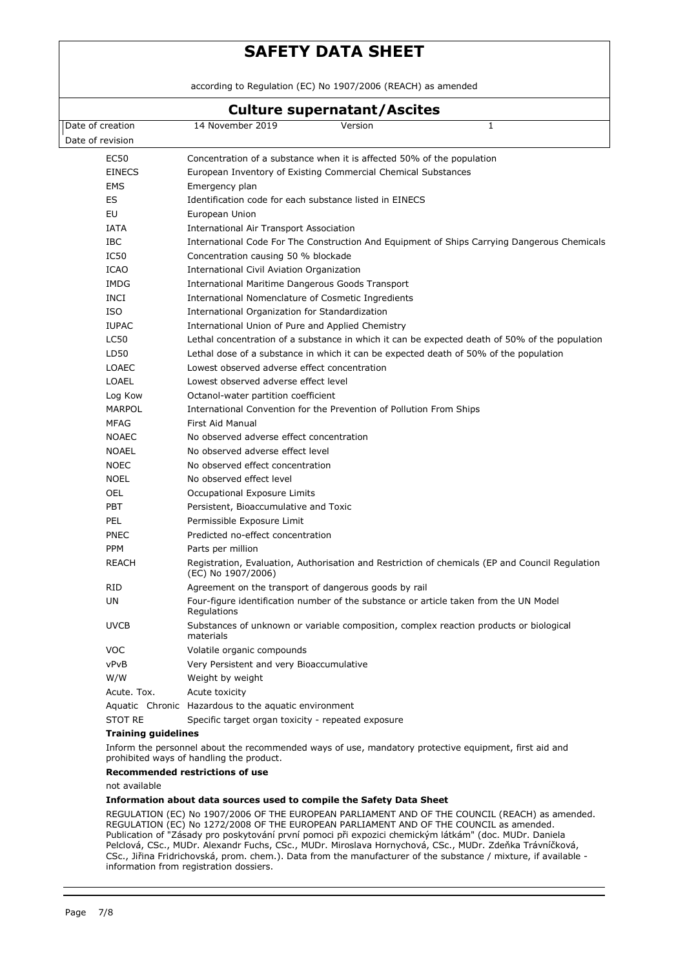according to Regulation (EC) No 1907/2006 (REACH) as amended

# **Culture supernatant/Ascites** Date of creation Date of revision 14 November 2019 Version 1 EC50 Concentration of a substance when it is affected 50% of the population EINECS European Inventory of Existing Commercial Chemical Substances EMS Emergency plan ES Identification code for each substance listed in EINECS EU European Union IATA International Air Transport Association IBC International Code For The Construction And Equipment of Ships Carrying Dangerous Chemicals IC50 Concentration causing 50 % blockade ICAO International Civil Aviation Organization IMDG International Maritime Dangerous Goods Transport INCI International Nomenclature of Cosmetic Ingredients ISO International Organization for Standardization IUPAC International Union of Pure and Applied Chemistry LC50 Lethal concentration of a substance in which it can be expected death of 50% of the population LD50 Lethal dose of a substance in which it can be expected death of 50% of the population LOAEC Lowest observed adverse effect concentration LOAEL Lowest observed adverse effect level Log Kow Octanol-water partition coefficient MARPOL International Convention for the Prevention of Pollution From Ships MFAG First Aid Manual NOAEC No observed adverse effect concentration NOAEL No observed adverse effect level NOEC No observed effect concentration NOEL No observed effect level OEL Occupational Exposure Limits PBT Persistent, Bioaccumulative and Toxic PEL Permissible Exposure Limit PNEC Predicted no-effect concentration PPM Parts per million REACH Registration, Evaluation, Authorisation and Restriction of chemicals (EP and Council Regulation (EC) No 1907/2006) RID Agreement on the transport of dangerous goods by rail UN Four-figure identification number of the substance or article taken from the UN Model Regulations UVCB Substances of unknown or variable composition, complex reaction products or biological materials VOC Volatile organic compounds vPvB Very Persistent and very Bioaccumulative W/W Weight by weight Acute. Tox. Acute toxicity Aquatic Chronic Hazardous to the aquatic environment STOT RE Specific target organ toxicity - repeated exposure **Training guidelines**

Inform the personnel about the recommended ways of use, mandatory protective equipment, first aid and prohibited ways of handling the product.

### **Recommended restrictions of use**

not available

### **Information about data sources used to compile the Safety Data Sheet**

REGULATION (EC) No 1907/2006 OF THE EUROPEAN PARLIAMENT AND OF THE COUNCIL (REACH) as amended. REGULATION (EC) No 1272/2008 OF THE EUROPEAN PARLIAMENT AND OF THE COUNCIL as amended. Publication of "Zásady pro poskytování první pomoci při expozici chemickým látkám" (doc. MUDr. Daniela Pelclová, CSc., MUDr. Alexandr Fuchs, CSc., MUDr. Miroslava Hornychová, CSc., MUDr. Zdeňka Trávníčková, CSc., Jiřina Fridrichovská, prom. chem.). Data from the manufacturer of the substance / mixture, if available information from registration dossiers.